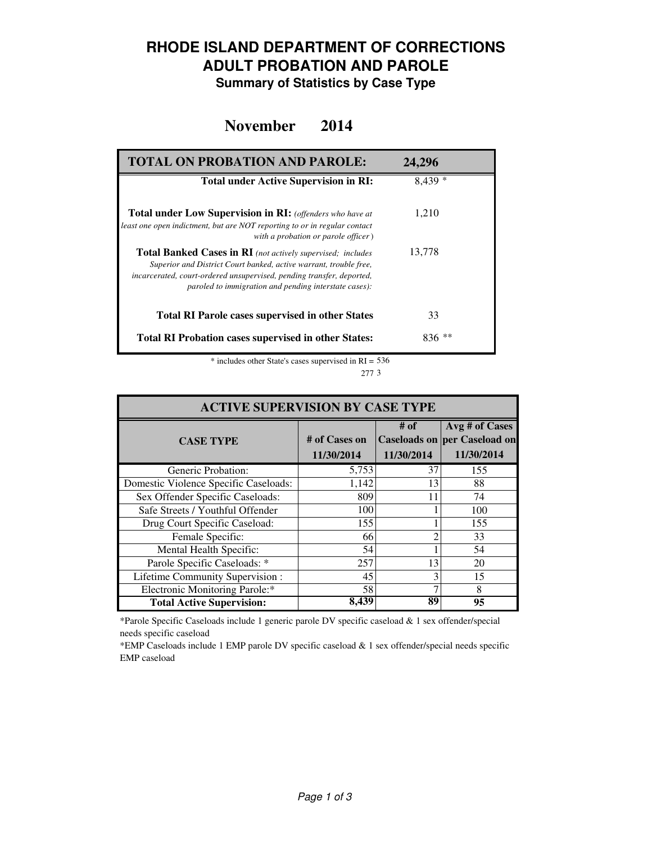### **RHODE ISLAND DEPARTMENT OF CORRECTIONS ADULT PROBATION AND PAROLE**

**Summary of Statistics by Case Type**

#### **November 2014**

| <b>TOTAL ON PROBATION AND PAROLE:</b>                                                                                                                                                                                                                                     | 24,296   |
|---------------------------------------------------------------------------------------------------------------------------------------------------------------------------------------------------------------------------------------------------------------------------|----------|
| <b>Total under Active Supervision in RI:</b>                                                                                                                                                                                                                              | $8.439*$ |
| <b>Total under Low Supervision in RI:</b> (offenders who have at<br>least one open indictment, but are NOT reporting to or in regular contact<br>with a probation or parole officer)                                                                                      | 1.210    |
| <b>Total Banked Cases in RI</b> (not actively supervised; includes<br>Superior and District Court banked, active warrant, trouble free,<br>incarcerated, court-ordered unsupervised, pending transfer, deported,<br>paroled to immigration and pending interstate cases): | 13,778   |
| <b>Total RI Parole cases supervised in other States</b>                                                                                                                                                                                                                   | 33       |
| <b>Total RI Probation cases supervised in other States:</b>                                                                                                                                                                                                               | $836**$  |

\* includes other State's cases supervised in RI = 536 3 277

| <b>ACTIVE SUPERVISION BY CASE TYPE</b> |                             |                    |                                                                     |  |  |
|----------------------------------------|-----------------------------|--------------------|---------------------------------------------------------------------|--|--|
| <b>CASE TYPE</b>                       | # of Cases on<br>11/30/2014 | # of<br>11/30/2014 | Avg # of Cases<br><b>Caseloads on per Caseload on</b><br>11/30/2014 |  |  |
| Generic Probation:                     | 5,753                       | 37                 | 155                                                                 |  |  |
| Domestic Violence Specific Caseloads:  | 1,142                       | 13                 | 88                                                                  |  |  |
| Sex Offender Specific Caseloads:       | 809                         | 11                 | 74                                                                  |  |  |
| Safe Streets / Youthful Offender       | 100                         |                    | 100                                                                 |  |  |
| Drug Court Specific Caseload:          | 155                         |                    | 155                                                                 |  |  |
| Female Specific:                       | 66                          | ∍                  | 33                                                                  |  |  |
| Mental Health Specific:                | 54                          |                    | 54                                                                  |  |  |
| Parole Specific Caseloads: *           | 257                         | 13                 | 20                                                                  |  |  |
| Lifetime Community Supervision:        | 45                          | 3                  | 15                                                                  |  |  |
| Electronic Monitoring Parole:*         | 58                          |                    | 8                                                                   |  |  |
| <b>Total Active Supervision:</b>       | 8,439                       | 89                 | 95                                                                  |  |  |

\*Parole Specific Caseloads include 1 generic parole DV specific caseload & 1 sex offender/special needs specific caseload

\*EMP Caseloads include 1 EMP parole DV specific caseload & 1 sex offender/special needs specific EMP caseload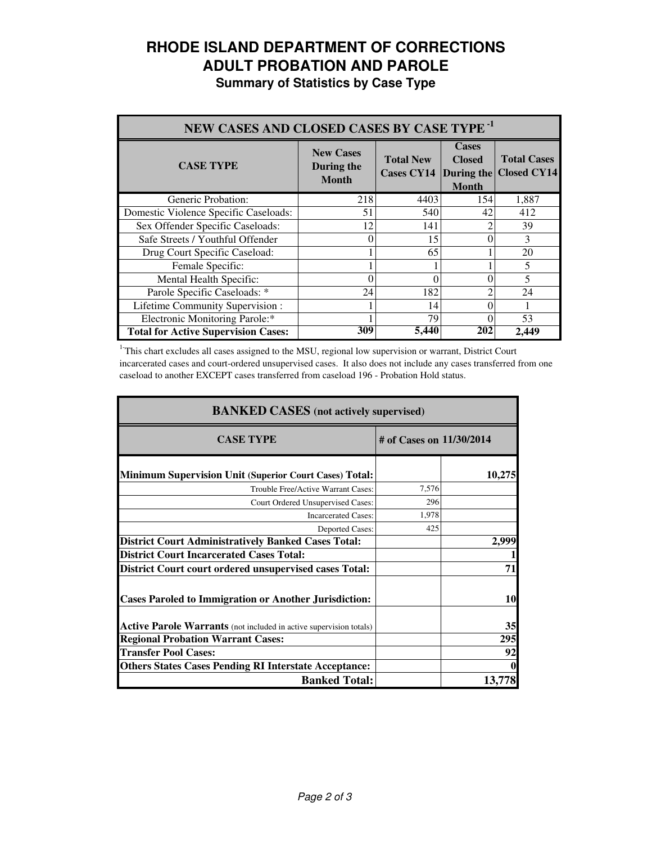# **RHODE ISLAND DEPARTMENT OF CORRECTIONS ADULT PROBATION AND PAROLE**

**Summary of Statistics by Case Type**

| NEW CASES AND CLOSED CASES BY CASE TYPE <sup>-1</sup> |                                                |                                       |                                                             |                                          |
|-------------------------------------------------------|------------------------------------------------|---------------------------------------|-------------------------------------------------------------|------------------------------------------|
| <b>CASE TYPE</b>                                      | <b>New Cases</b><br>During the<br><b>Month</b> | <b>Total New</b><br><b>Cases CY14</b> | <b>Cases</b><br><b>Closed</b><br>During the<br><b>Month</b> | <b>Total Cases</b><br><b>Closed CY14</b> |
| Generic Probation:                                    | 218                                            | 4403                                  | 154                                                         | 1,887                                    |
| Domestic Violence Specific Caseloads:                 | 51                                             | 540                                   | 42                                                          | 412                                      |
| Sex Offender Specific Caseloads:                      | 12                                             | 141                                   |                                                             | 39                                       |
| Safe Streets / Youthful Offender                      | 0                                              | 15                                    |                                                             | 3                                        |
| Drug Court Specific Caseload:                         |                                                | 65                                    |                                                             | 20                                       |
| Female Specific:                                      |                                                |                                       |                                                             | 5                                        |
| Mental Health Specific:                               | $\Omega$                                       | 0                                     |                                                             | 5                                        |
| Parole Specific Caseloads: *                          | 24                                             | 182                                   |                                                             | 24                                       |
| Lifetime Community Supervision:                       |                                                | 14                                    |                                                             |                                          |
| Electronic Monitoring Parole:*                        |                                                | 79                                    |                                                             | 53                                       |
| <b>Total for Active Supervision Cases:</b>            | 309                                            | 5,440                                 | 202                                                         | 2.449                                    |

<sup>1</sup>This chart excludes all cases assigned to the MSU, regional low supervision or warrant, District Court incarcerated cases and court-ordered unsupervised cases. It also does not include any cases transferred from one caseload to another EXCEPT cases transferred from caseload 196 - Probation Hold status.

| <b>BANKED CASES</b> (not actively supervised)                      |                          |        |  |
|--------------------------------------------------------------------|--------------------------|--------|--|
| <b>CASE TYPE</b>                                                   | # of Cases on 11/30/2014 |        |  |
| <b>Minimum Supervision Unit (Superior Court Cases) Total:</b>      |                          | 10,275 |  |
| Trouble Free/Active Warrant Cases:                                 | 7,576                    |        |  |
| Court Ordered Unsupervised Cases:                                  | 296                      |        |  |
| <b>Incarcerated Cases:</b>                                         | 1,978                    |        |  |
| <b>Deported Cases:</b>                                             | 425                      |        |  |
| <b>District Court Administratively Banked Cases Total:</b>         |                          | 2,999  |  |
| <b>District Court Incarcerated Cases Total:</b>                    |                          |        |  |
| <b>District Court court ordered unsupervised cases Total:</b>      |                          | 71     |  |
| <b>Cases Paroled to Immigration or Another Jurisdiction:</b>       |                          | 10     |  |
| Active Parole Warrants (not included in active supervision totals) |                          | 35     |  |
| <b>Regional Probation Warrant Cases:</b>                           |                          | 295    |  |
| <b>Transfer Pool Cases:</b>                                        |                          | 92     |  |
| <b>Others States Cases Pending RI Interstate Acceptance:</b>       |                          |        |  |
| <b>Banked Total:</b>                                               |                          | 13,778 |  |